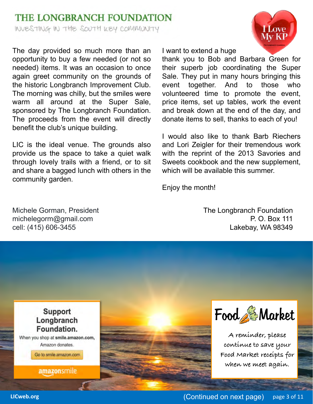## THE LONGBRANCH FOUNDATION WUESTING IN THE SOUTH KEY COMMUNITY

The day provided so much more than an opportunity to buy a few needed (or not so needed) items. It was an occasion to once again greet community on the grounds of the historic Longbranch Improvement Club. The morning was chilly, but the smiles were warm all around at the Super Sale, sponsored by The Longbranch Foundation. The proceeds from the event will directly benefit the club's unique building.

LIC is the ideal venue. The grounds also provide us the space to take a quiet walk through lovely trails with a friend, or to sit and share a bagged lunch with others in the community garden.

Michele Gorman, President michelegorm@gmail.com cell: (415) 606-3455



I want to extend a huge

thank you to Bob and Barbara Green for their superb job coordinating the Super Sale. They put in many hours bringing this event together. And to those who volunteered time to promote the event, price items, set up tables, work the event and break down at the end of the day, and donate items to sell, thanks to each of you!

I would also like to thank Barb Riechers and Lori Zeigler for their tremendous work with the reprint of the 2013 Savories and Sweets cookbook and the new supplement, which will be available this summer.

Enjoy the month!

The Longbranch Foundation P. O. Box 111 Lakebay, WA 98349

**Support** Longbranch Foundation. When you shop at smile.amazon.com,

Amazon donates.

Go to smile.amazon.com

amazonsmile





**A reminder, please continue to save your Food Market receipts for when we meet again.**